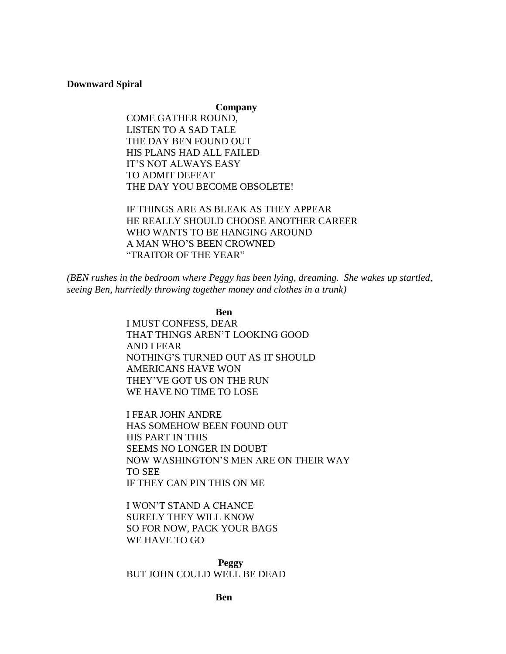# **Downward Spiral**

**Company**

COME GATHER ROUND, LISTEN TO A SAD TALE THE DAY BEN FOUND OUT HIS PLANS HAD ALL FAILED IT'S NOT ALWAYS EASY TO ADMIT DEFEAT THE DAY YOU BECOME OBSOLETE!

IF THINGS ARE AS BLEAK AS THEY APPEAR HE REALLY SHOULD CHOOSE ANOTHER CAREER WHO WANTS TO BE HANGING AROUND A MAN WHO'S BEEN CROWNED "TRAITOR OF THE YEAR"

*(BEN rushes in the bedroom where Peggy has been lying, dreaming. She wakes up startled, seeing Ben, hurriedly throwing together money and clothes in a trunk)*

**Ben**

I MUST CONFESS, DEAR THAT THINGS AREN'T LOOKING GOOD AND I FEAR NOTHING'S TURNED OUT AS IT SHOULD AMERICANS HAVE WON THEY'VE GOT US ON THE RUN WE HAVE NO TIME TO LOSE

I FEAR JOHN ANDRE HAS SOMEHOW BEEN FOUND OUT HIS PART IN THIS SEEMS NO LONGER IN DOUBT NOW WASHINGTON'S MEN ARE ON THEIR WAY TO SEE IF THEY CAN PIN THIS ON ME

I WON'T STAND A CHANCE SURELY THEY WILL KNOW SO FOR NOW, PACK YOUR BAGS WE HAVE TO GO

**Peggy** BUT JOHN COULD WELL BE DEAD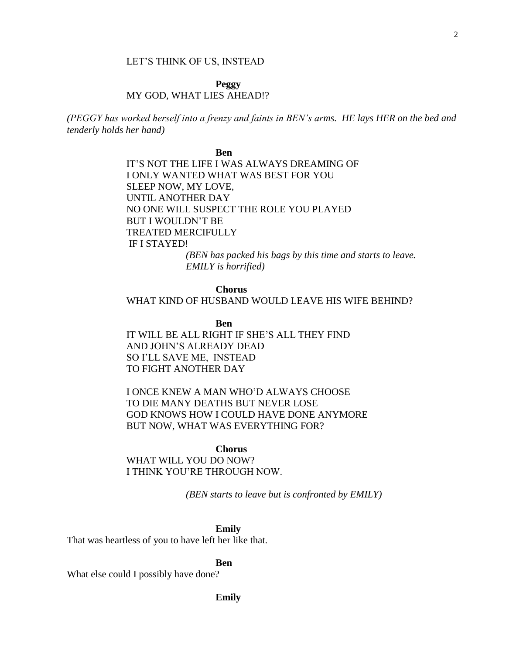### LET'S THINK OF US, INSTEAD

# **Peggy** MY GOD, WHAT LIES AHEAD!?

*(PEGGY has worked herself into a frenzy and faints in BEN's arms. HE lays HER on the bed and tenderly holds her hand)*

> **Ben** IT'S NOT THE LIFE I WAS ALWAYS DREAMING OF I ONLY WANTED WHAT WAS BEST FOR YOU SLEEP NOW, MY LOVE, UNTIL ANOTHER DAY NO ONE WILL SUSPECT THE ROLE YOU PLAYED BUT I WOULDN'T BE TREATED MERCIFULLY IF I STAYED! *(BEN has packed his bags by this time and starts to leave. EMILY is horrified)*

### **Chorus**

# WHAT KIND OF HUSBAND WOULD LEAVE HIS WIFE BEHIND?

**Ben**

IT WILL BE ALL RIGHT IF SHE'S ALL THEY FIND AND JOHN'S ALREADY DEAD SO I'LL SAVE ME, INSTEAD TO FIGHT ANOTHER DAY

I ONCE KNEW A MAN WHO'D ALWAYS CHOOSE TO DIE MANY DEATHS BUT NEVER LOSE GOD KNOWS HOW I COULD HAVE DONE ANYMORE BUT NOW, WHAT WAS EVERYTHING FOR?

#### **Chorus**

WHAT WILL YOU DO NOW? I THINK YOU'RE THROUGH NOW.

*(BEN starts to leave but is confronted by EMILY)*

**Emily**

That was heartless of you to have left her like that.

**Ben**

What else could I possibly have done?

### **Emily**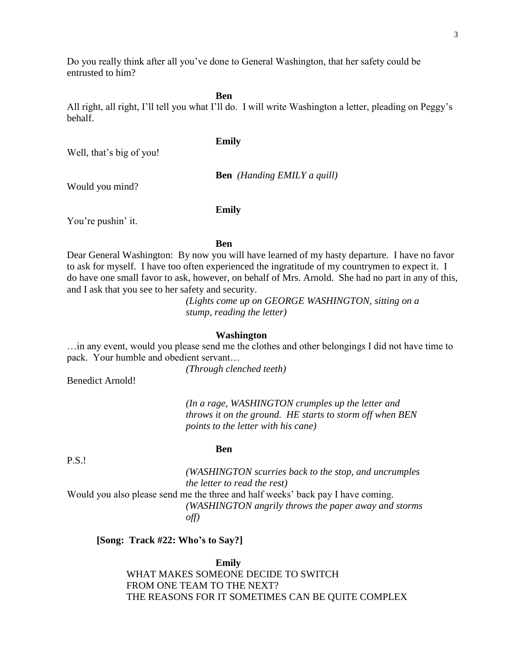Do you really think after all you've done to General Washington, that her safety could be entrusted to him?

**Ben**

All right, all right, I'll tell you what I'll do. I will write Washington a letter, pleading on Peggy's behalf.

#### **Emily**

Well, that's big of you!

**Ben** *(Handing EMILY a quill)*

Would you mind?

**Emily**

You're pushin' it.

#### **Ben**

Dear General Washington: By now you will have learned of my hasty departure. I have no favor to ask for myself. I have too often experienced the ingratitude of my countrymen to expect it. I do have one small favor to ask, however, on behalf of Mrs. Arnold. She had no part in any of this, and I ask that you see to her safety and security.

> *(Lights come up on GEORGE WASHINGTON, sitting on a stump, reading the letter)*

#### **Washington**

…in any event, would you please send me the clothes and other belongings I did not have time to pack. Your humble and obedient servant…

*(Through clenched teeth)*

Benedict Arnold!

*(In a rage, WASHINGTON crumples up the letter and throws it on the ground. HE starts to storm off when BEN points to the letter with his cane)*

# **Ben**

*(WASHINGTON scurries back to the stop, and uncrumples the letter to read the rest)* Would you also please send me the three and half weeks' back pay I have coming. *(WASHINGTON angrily throws the paper away and storms off)*

## **[Song: Track #22: Who's to Say?]**

**Emily** WHAT MAKES SOMEONE DECIDE TO SWITCH FROM ONE TEAM TO THE NEXT? THE REASONS FOR IT SOMETIMES CAN BE QUITE COMPLEX

# P.S.!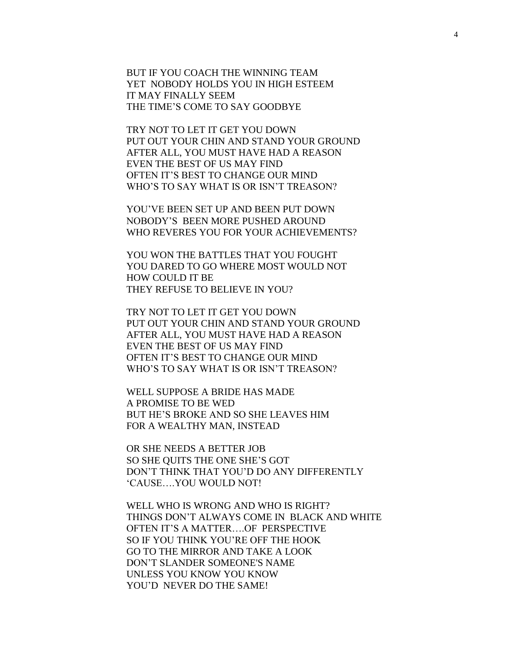BUT IF YOU COACH THE WINNING TEAM YET NOBODY HOLDS YOU IN HIGH ESTEEM IT MAY FINALLY SEEM THE TIME'S COME TO SAY GOODBYE

TRY NOT TO LET IT GET YOU DOWN PUT OUT YOUR CHIN AND STAND YOUR GROUND AFTER ALL, YOU MUST HAVE HAD A REASON EVEN THE BEST OF US MAY FIND OFTEN IT'S BEST TO CHANGE OUR MIND WHO'S TO SAY WHAT IS OR ISN'T TREASON?

YOU'VE BEEN SET UP AND BEEN PUT DOWN NOBODY'S BEEN MORE PUSHED AROUND WHO REVERES YOU FOR YOUR ACHIEVEMENTS?

YOU WON THE BATTLES THAT YOU FOUGHT YOU DARED TO GO WHERE MOST WOULD NOT HOW COULD IT BE THEY REFUSE TO BELIEVE IN YOU?

TRY NOT TO LET IT GET YOU DOWN PUT OUT YOUR CHIN AND STAND YOUR GROUND AFTER ALL, YOU MUST HAVE HAD A REASON EVEN THE BEST OF US MAY FIND OFTEN IT'S BEST TO CHANGE OUR MIND WHO'S TO SAY WHAT IS OR ISN'T TREASON?

WELL SUPPOSE A BRIDE HAS MADE A PROMISE TO BE WED BUT HE'S BROKE AND SO SHE LEAVES HIM FOR A WEALTHY MAN, INSTEAD

OR SHE NEEDS A BETTER JOB SO SHE QUITS THE ONE SHE'S GOT DON'T THINK THAT YOU'D DO ANY DIFFERENTLY 'CAUSE….YOU WOULD NOT!

WELL WHO IS WRONG AND WHO IS RIGHT? THINGS DON'T ALWAYS COME IN BLACK AND WHITE OFTEN IT'S A MATTER….OF PERSPECTIVE SO IF YOU THINK YOU'RE OFF THE HOOK GO TO THE MIRROR AND TAKE A LOOK DON'T SLANDER SOMEONE'S NAME UNLESS YOU KNOW YOU KNOW YOU'D NEVER DO THE SAME!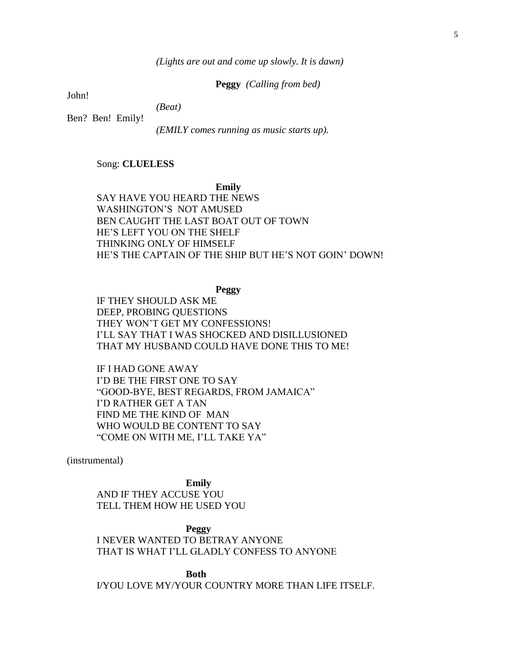*(Lights are out and come up slowly. It is dawn)*

**Peggy** *(Calling from bed)*

John!

*(Beat)*

Ben? Ben! Emily!

*(EMILY comes running as music starts up).*

# Song: **CLUELESS**

**Emily**

SAY HAVE YOU HEARD THE NEWS WASHINGTON'S NOT AMUSED BEN CAUGHT THE LAST BOAT OUT OF TOWN HE'S LEFT YOU ON THE SHELF THINKING ONLY OF HIMSELF HE'S THE CAPTAIN OF THE SHIP BUT HE'S NOT GOIN' DOWN!

**Peggy**

IF THEY SHOULD ASK ME DEEP, PROBING QUESTIONS THEY WON'T GET MY CONFESSIONS! I'LL SAY THAT I WAS SHOCKED AND DISILLUSIONED THAT MY HUSBAND COULD HAVE DONE THIS TO ME!

IF I HAD GONE AWAY I'D BE THE FIRST ONE TO SAY "GOOD-BYE, BEST REGARDS, FROM JAMAICA" I'D RATHER GET A TAN FIND ME THE KIND OF MAN WHO WOULD BE CONTENT TO SAY "COME ON WITH ME, I'LL TAKE YA"

(instrumental)

**Emily** AND IF THEY ACCUSE YOU TELL THEM HOW HE USED YOU

**Peggy** I NEVER WANTED TO BETRAY ANYONE THAT IS WHAT I'LL GLADLY CONFESS TO ANYONE

**Both** I/YOU LOVE MY/YOUR COUNTRY MORE THAN LIFE ITSELF.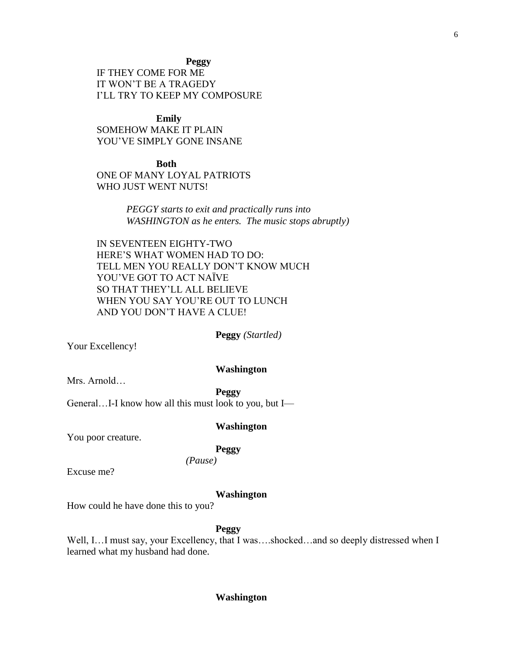**Peggy**

IF THEY COME FOR ME IT WON'T BE A TRAGEDY I'LL TRY TO KEEP MY COMPOSURE

**Emily** SOMEHOW MAKE IT PLAIN YOU'VE SIMPLY GONE INSANE

**Both** ONE OF MANY LOYAL PATRIOTS WHO JUST WENT NUTS!

> *PEGGY starts to exit and practically runs into WASHINGTON as he enters. The music stops abruptly)*

IN SEVENTEEN EIGHTY-TWO HERE'S WHAT WOMEN HAD TO DO: TELL MEN YOU REALLY DON'T KNOW MUCH YOU'VE GOT TO ACT NAÏVE SO THAT THEY'LL ALL BELIEVE WHEN YOU SAY YOU'RE OUT TO LUNCH AND YOU DON'T HAVE A CLUE!

**Peggy** *(Startled)*

Your Excellency!

### **Washington**

Mrs. Arnold…

**Peggy**

General…I-I know how all this must look to you, but I—

# **Washington**

You poor creature.

**Peggy** 

*(Pause)*

Excuse me?

# **Washington**

How could he have done this to you?

**Peggy**

Well, I…I must say, your Excellency, that I was….shocked…and so deeply distressed when I learned what my husband had done.

### **Washington**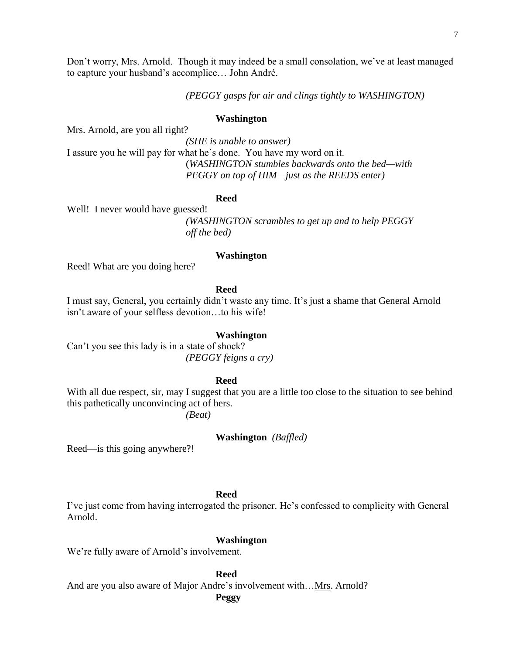Don't worry, Mrs. Arnold. Though it may indeed be a small consolation, we've at least managed to capture your husband's accomplice… John André.

*(PEGGY gasps for air and clings tightly to WASHINGTON)*

#### **Washington**

Mrs. Arnold, are you all right?

*(SHE is unable to answer)* I assure you he will pay for what he's done. You have my word on it. (*WASHINGTON stumbles backwards onto the bed—with PEGGY on top of HIM—just as the REEDS enter)*

#### **Reed**

Well! I never would have guessed!

*(WASHINGTON scrambles to get up and to help PEGGY off the bed)*

### **Washington**

Reed! What are you doing here?

# **Reed**

I must say, General, you certainly didn't waste any time. It's just a shame that General Arnold isn't aware of your selfless devotion…to his wife!

#### **Washington**

Can't you see this lady is in a state of shock? *(PEGGY feigns a cry)*

# **Reed**

With all due respect, sir, may I suggest that you are a little too close to the situation to see behind this pathetically unconvincing act of hers.

*(Beat)*

**Washington** *(Baffled)*

Reed—is this going anywhere?!

# **Reed**

I've just come from having interrogated the prisoner. He's confessed to complicity with General Arnold.

### **Washington**

We're fully aware of Arnold's involvement.

**Reed**

And are you also aware of Major Andre's involvement with... Mrs. Arnold?

**Peggy**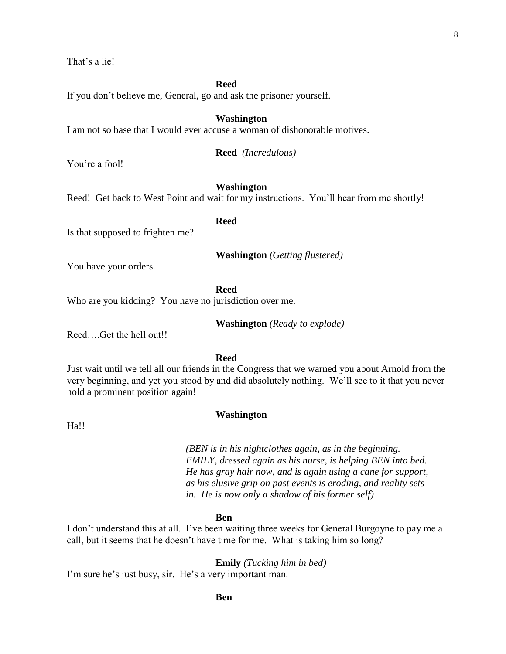That's a lie!

**Reed**

If you don't believe me, General, go and ask the prisoner yourself.

#### **Washington**

I am not so base that I would ever accuse a woman of dishonorable motives.

**Reed** *(Incredulous)*

You're a fool!

# **Washington**

Reed! Get back to West Point and wait for my instructions. You'll hear from me shortly!

**Reed**

Is that supposed to frighten me?

**Washington** *(Getting flustered)*

You have your orders.

**Reed**

Who are you kidding? You have no jurisdiction over me.

**Washington** *(Ready to explode)*

Reed….Get the hell out!!

**Reed**

Just wait until we tell all our friends in the Congress that we warned you about Arnold from the very beginning, and yet you stood by and did absolutely nothing. We'll see to it that you never hold a prominent position again!

Ha!!

# **Washington**

*(BEN is in his nightclothes again, as in the beginning. EMILY, dressed again as his nurse, is helping BEN into bed. He has gray hair now, and is again using a cane for support, as his elusive grip on past events is eroding, and reality sets in. He is now only a shadow of his former self)*

#### **Ben**

I don't understand this at all. I've been waiting three weeks for General Burgoyne to pay me a call, but it seems that he doesn't have time for me. What is taking him so long?

**Emily** *(Tucking him in bed)*

I'm sure he's just busy, sir. He's a very important man.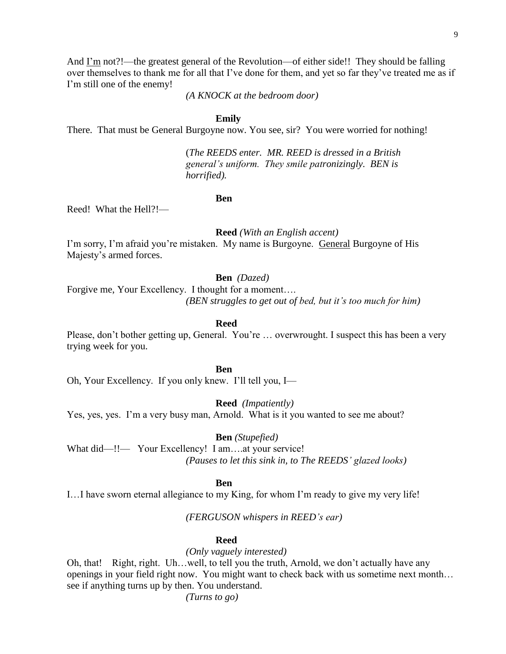9

And I'm not?!—the greatest general of the Revolution—of either side!! They should be falling over themselves to thank me for all that I've done for them, and yet so far they've treated me as if I'm still one of the enemy!

*(A KNOCK at the bedroom door)*

#### **Emily**

There. That must be General Burgoyne now. You see, sir? You were worried for nothing!

(*The REEDS enter. MR. REED is dressed in a British general's uniform. They smile patronizingly. BEN is horrified).*

**Ben**

Reed! What the Hell?!—

**Reed** *(With an English accent)*

I'm sorry, I'm afraid you're mistaken. My name is Burgoyne. General Burgoyne of His Majesty's armed forces.

**Ben** *(Dazed)*

Forgive me, Your Excellency. I thought for a moment…. *(BEN struggles to get out of bed, but it's too much for him)*

**Reed**

Please, don't bother getting up, General. You're ... overwrought. I suspect this has been a very trying week for you.

**Ben**

Oh, Your Excellency. If you only knew. I'll tell you, I—

**Reed** *(Impatiently)*

Yes, yes, yes. I'm a very busy man, Arnold. What is it you wanted to see me about?

**Ben** *(Stupefied)*

What did—!!— Your Excellency! I am....at your service! *(Pauses to let this sink in, to The REEDS' glazed looks)*

#### **Ben**

I…I have sworn eternal allegiance to my King, for whom I'm ready to give my very life!

*(FERGUSON whispers in REED's ear)*

### **Reed**

*(Only vaguely interested)*

Oh, that! Right, right. Uh…well, to tell you the truth, Arnold, we don't actually have any openings in your field right now. You might want to check back with us sometime next month… see if anything turns up by then. You understand.

*(Turns to go)*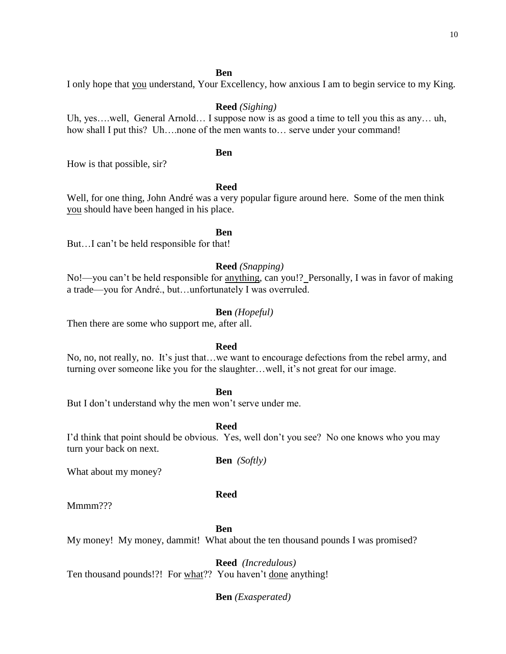# **Ben**

I only hope that you understand, Your Excellency, how anxious I am to begin service to my King.

# **Reed** *(Sighing)*

Uh, yes….well, General Arnold… I suppose now is as good a time to tell you this as any… uh, how shall I put this? Uh....none of the men wants to... serve under your command!

# **Ben**

How is that possible, sir?

# **Reed**

Well, for one thing, John André was a very popular figure around here. Some of the men think you should have been hanged in his place.

**Ben**

But…I can't be held responsible for that!

# **Reed** *(Snapping)*

No!—you can't be held responsible for <u>anything</u>, can you!? Personally, I was in favor of making a trade—you for André., but…unfortunately I was overruled.

# **Ben** *(Hopeful)*

Then there are some who support me, after all.

# **Reed**

No, no, not really, no. It's just that…we want to encourage defections from the rebel army, and turning over someone like you for the slaughter…well, it's not great for our image.

# **Ben**

But I don't understand why the men won't serve under me.

**Reed**

I'd think that point should be obvious. Yes, well don't you see? No one knows who you may turn your back on next.

**Ben** *(Softly)*

What about my money?

# **Reed**

Mmmm???

**Ben**

My money! My money, dammit! What about the ten thousand pounds I was promised?

**Reed** *(Incredulous)* Ten thousand pounds!?! For what?? You haven't done anything!

**Ben** *(Exasperated)*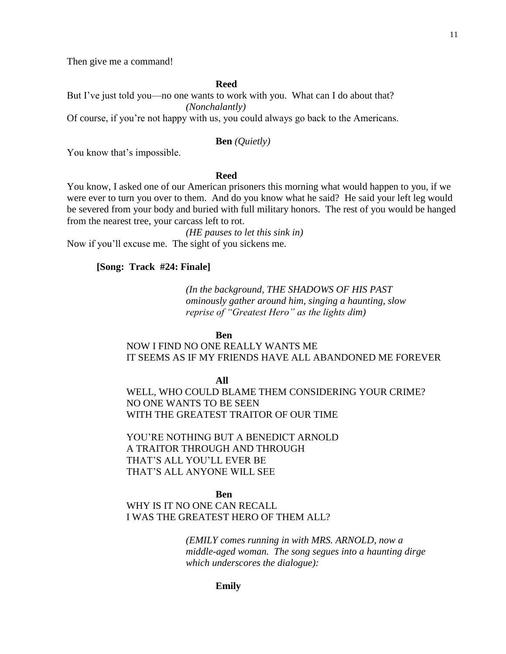Then give me a command!

**Reed**

But I've just told you—no one wants to work with you. What can I do about that? *(Nonchalantly)* 

Of course, if you're not happy with us, you could always go back to the Americans.

### **Ben** *(Quietly)*

You know that's impossible.

#### **Reed**

You know, I asked one of our American prisoners this morning what would happen to you, if we were ever to turn you over to them. And do you know what he said? He said your left leg would be severed from your body and buried with full military honors. The rest of you would be hanged from the nearest tree, your carcass left to rot.

*(HE pauses to let this sink in)* Now if you'll excuse me. The sight of you sickens me.

### **[Song: Track #24: Finale]**

*(In the background, THE SHADOWS OF HIS PAST ominously gather around him, singing a haunting, slow reprise of "Greatest Hero" as the lights dim)*

**Ben**

# NOW I FIND NO ONE REALLY WANTS ME IT SEEMS AS IF MY FRIENDS HAVE ALL ABANDONED ME FOREVER

**All**

WELL, WHO COULD BLAME THEM CONSIDERING YOUR CRIME? NO ONE WANTS TO BE SEEN WITH THE GREATEST TRAITOR OF OUR TIME

YOU'RE NOTHING BUT A BENEDICT ARNOLD A TRAITOR THROUGH AND THROUGH THAT'S ALL YOU'LL EVER BE THAT'S ALL ANYONE WILL SEE

#### **Ben**

WHY IS IT NO ONE CAN RECALL I WAS THE GREATEST HERO OF THEM ALL?

> *(EMILY comes running in with MRS. ARNOLD, now a middle-aged woman. The song segues into a haunting dirge which underscores the dialogue):*

> > **Emily**